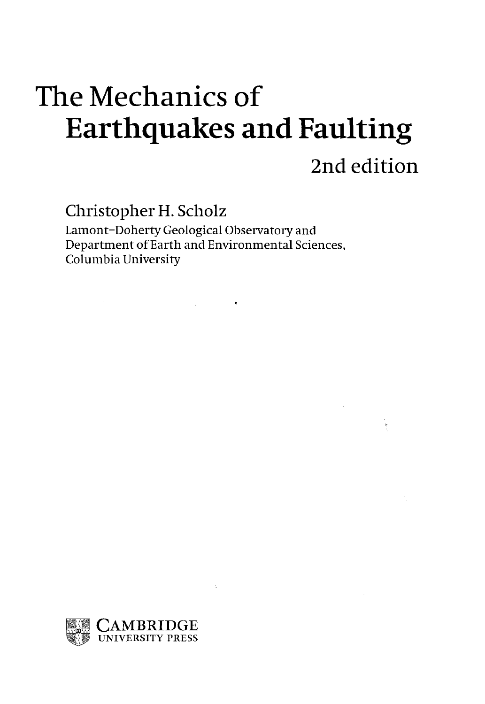# The Mechanics of Earthquakes and Faulting 2nd edition

Christopher H. Scholz

Lamont-Doherty Geological Observatory and Department of Earth and Environmental Sciences, Columbia University

 $\label{eq:2.1} \frac{1}{\sqrt{2}}\int_{\mathbb{R}^{2}}\left|\frac{d\mathbf{r}}{d\mathbf{r}}\right|^{2}d\mathbf{r}=\int_{\mathbb{R}^{2}}\left|\frac{d\mathbf{r}}{d\mathbf{r}}\right|^{2}d\mathbf{r}$ 

 $\mathbb{R}^2$ 

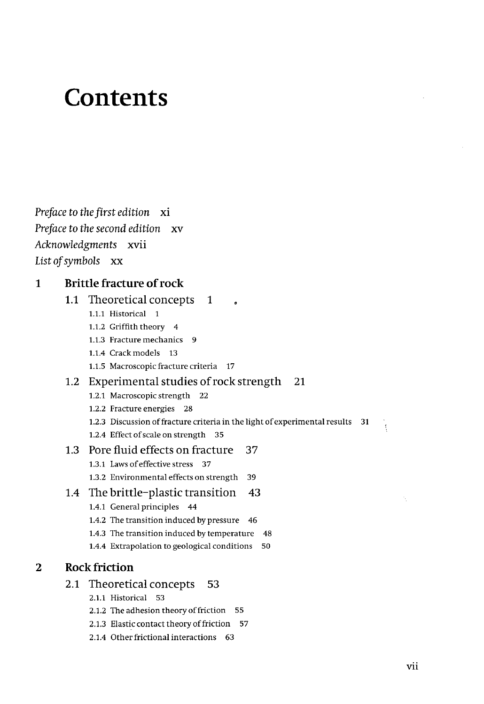# **Contents**

*Preface to the first edition* xi *Preface to the second edition* xv *Acknowledgments* xvii List *of symbols* xx

#### **1 Brittle fracture of rock**

## **1.1** Theoretical concepts 1 1.1.1 Historical 1 1.1.2 Griffith theory 4 1.1.3 Fracture mechanics 9 1.1.4 Crack models 13 1.1.5 Macroscopic fracture criteria 17 1.2 Experimental studies of rock strength 21 1.2.1 Macroscopic strength 22 1.2.2 Fracture energies 28 1.2.3 Discussion of fracture criteria in the light of experimental results 31 1.2.4 Effect of scale on strength 35 1.3 Pore fluid effects on fracture 37 1.3.1 Laws of effective stress 37 1.3.2 Environmental effects on strength 39 1.4 The brittle-plastic transition 43 1.4.1 General principles 44 1.4.2 The transition induced by pressure 46 1.4.3 The transition induced by temperature 48 1.4.4 Extrapolation to geological conditions 50 2.1 Theoretical concepts 53 2.1.1 Historical 53

#### **2 Rock friction**

- 2.1.2 The adhesion theory of friction 55
- 2.1.3 Elastic contact theory of friction 57
- 2.1.4 Other frictional interactions 63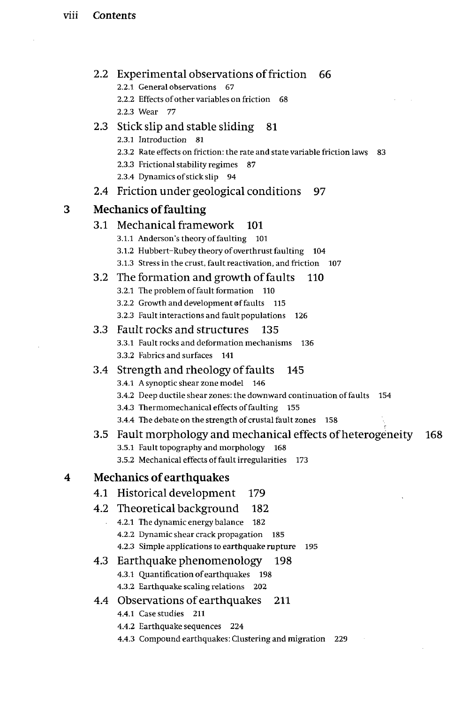$\sim 10^{-1}$ 

 $\sim 10^{11}$  km s  $^{-1}$ 

|   |                                 | 2.2 Experimental observations of friction 66                                             |  |
|---|---------------------------------|------------------------------------------------------------------------------------------|--|
|   |                                 | 2.2.1 General observations<br>- 67                                                       |  |
|   |                                 | 2.2.2 Effects of other variables on friction<br>68<br>2.2.3 Wear 77                      |  |
|   |                                 |                                                                                          |  |
|   |                                 | 2.3 Stick slip and stable sliding<br>81<br>2.3.1 Introduction 81                         |  |
|   |                                 | 2.3.2 Rate effects on friction: the rate and state variable friction laws<br>83          |  |
|   |                                 | 2.3.3 Frictional stability regimes<br>87                                                 |  |
|   |                                 | 2.3.4 Dynamics of stick slip 94                                                          |  |
|   | 2.4                             | Friction under geological conditions<br>97                                               |  |
| з | <b>Mechanics of faulting</b>    |                                                                                          |  |
|   |                                 | 3.1 Mechanical framework<br>101                                                          |  |
|   |                                 | 3.1.1 Anderson's theory of faulting 101                                                  |  |
|   |                                 | 3.1.2 Hubbert-Rubey theory of overthrust faulting<br>104                                 |  |
|   |                                 | 3.1.3 Stress in the crust, fault reactivation, and friction 107                          |  |
|   | 3.2                             | The formation and growth of faults<br>110                                                |  |
|   |                                 | 3.2.1 The problem of fault formation 110                                                 |  |
|   |                                 | 3.2.2 Growth and development of faults 115                                               |  |
|   |                                 | 3.2.3 Fault interactions and fault populations<br>126                                    |  |
|   |                                 | 3.3 Fault rocks and structures<br>135                                                    |  |
|   |                                 | 3.3.1 Fault rocks and deformation mechanisms<br>136<br>3.3.2 Fabrics and surfaces 141    |  |
|   |                                 |                                                                                          |  |
|   |                                 | 3.4 Strength and rheology of faults<br>145<br>3.4.1 A synoptic shear zone model<br>- 146 |  |
|   |                                 | 3.4.2 Deep ductile shear zones: the downward continuation of faults<br>154               |  |
|   |                                 | 3.4.3 Thermomechanical effects of faulting<br>- 155                                      |  |
|   |                                 | 3.4.4 The debate on the strength of crustal fault zones<br>158                           |  |
|   |                                 | 3.5 Fault morphology and mechanical effects of heterogeneity<br>168                      |  |
|   |                                 | 3.5.1 Fault topography and morphology<br>168                                             |  |
|   |                                 | 3.5.2 Mechanical effects of fault irregularities<br>173                                  |  |
| 4 | <b>Mechanics of earthquakes</b> |                                                                                          |  |
|   |                                 | 4.1 Historical development<br>179                                                        |  |
|   |                                 | 4.2 Theoretical background<br>182                                                        |  |
|   |                                 | 4.2.1 The dynamic energy balance 182                                                     |  |
|   |                                 | 4.2.2 Dynamic shear crack propagation<br>185                                             |  |
|   |                                 | 4.2.3 Simple applications to earthquake rupture<br>195                                   |  |
|   | 4.3                             | Earthquake phenomenology<br>198                                                          |  |
|   |                                 | 4.3.1 Quantification of earthquakes<br>198                                               |  |
|   |                                 | 4.3.2 Earthquake scaling relations<br>202                                                |  |
|   | 4.4                             | Observations of earthquakes<br>211<br>4.4.1 Case studies 211                             |  |
|   |                                 | 4.4.2 Earthquake sequences<br>224                                                        |  |
|   |                                 | 4.4.3 Compound earthquakes: Clustering and migration<br>229                              |  |
|   |                                 |                                                                                          |  |
|   |                                 |                                                                                          |  |
|   |                                 |                                                                                          |  |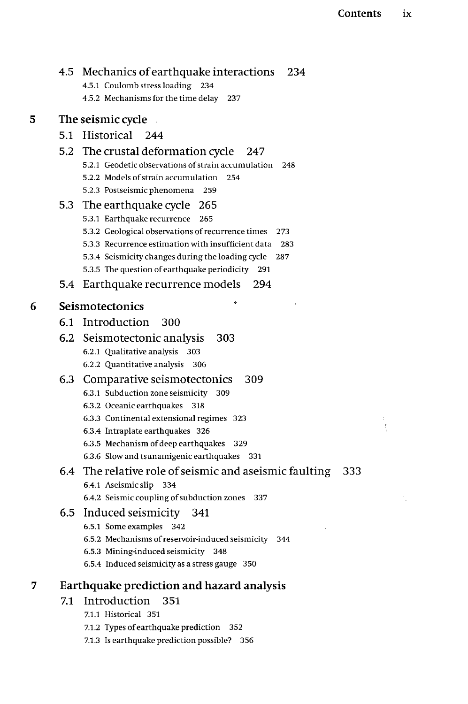$\frac{1}{3}$ 

 $\mathcal{A}_{\mu}$ 

| 4.5 | Mechanics of earthquake interactions<br>234                                                    |  |  |
|-----|------------------------------------------------------------------------------------------------|--|--|
|     | 4.5.1 Coulomb stress loading 234                                                               |  |  |
|     | 4.5.2 Mechanisms for the time delay<br>237                                                     |  |  |
|     | The seismic cycle                                                                              |  |  |
|     | 5.1 Historical 244                                                                             |  |  |
|     | 5.2 The crustal deformation cycle<br>247                                                       |  |  |
|     | 5.2.1 Geodetic observations of strain accumulation<br>248                                      |  |  |
|     | 5.2.2 Models of strain accumulation<br>254                                                     |  |  |
|     | 5.2.3 Postseismic phenomena<br>259                                                             |  |  |
|     | 5.3 The earthquake cycle<br>265                                                                |  |  |
|     | 5.3.1 Earthquake recurrence<br>265                                                             |  |  |
|     | 5.3.2 Geological observations of recurrence times<br>273                                       |  |  |
|     | 5.3.3 Recurrence estimation with insufficient data<br>283                                      |  |  |
|     | 5.3.4 Seismicity changes during the loading cycle<br>287                                       |  |  |
|     | 5.3.5 The question of earthquake periodicity<br>291                                            |  |  |
| 5.4 | Earthquake recurrence models<br>294                                                            |  |  |
|     | Seismotectonics                                                                                |  |  |
|     | 6.1 Introduction<br>300                                                                        |  |  |
|     | 6.2 Seismotectonic analysis<br>303                                                             |  |  |
|     | 6.2.1 Qualitative analysis<br>303                                                              |  |  |
|     | 6.2.2 Quantitative analysis<br>306                                                             |  |  |
|     | 6.3 Comparative seismotectonics<br>309                                                         |  |  |
|     | 6.3.1 Subduction zone seismicity<br>309                                                        |  |  |
|     | 6.3.2 Oceanic earthquakes<br>318                                                               |  |  |
|     | 6.3.3 Continental extensional regimes 323                                                      |  |  |
|     | 6.3.4 Intraplate earthquakes 326                                                               |  |  |
|     | 6.3.5 Mechanism of deep earthquakes<br>- 329<br>6.3.6 Slow and tsunamigenic earthquakes<br>331 |  |  |
|     | 333                                                                                            |  |  |
|     | 6.4 The relative role of seismic and aseismic faulting<br>6.4.1 Aseismic slip<br>334           |  |  |
|     | 6.4.2 Seismic coupling of subduction zones<br>337                                              |  |  |
| 6.5 | Induced seismicity 341                                                                         |  |  |
|     | 6.5.1 Some examples 342                                                                        |  |  |
|     | 6.5.2 Mechanisms of reservoir-induced seismicity<br>344                                        |  |  |
|     | 6.5.3 Mining-induced seismicity<br>348                                                         |  |  |
|     | 6.5.4 Induced seismicity as a stress gauge 350                                                 |  |  |
|     | Earthquake prediction and hazard analysis                                                      |  |  |
| 7.1 | Introduction<br>351                                                                            |  |  |
|     | 7.1.1 Historical 351                                                                           |  |  |
|     | 7.1.2 Types of earthquake prediction<br>352                                                    |  |  |
|     | 7.1.3 Is earthquake prediction possible?<br>356                                                |  |  |

 $\overline{\mathbf{5}}$ 

 $\overline{6}$ 

 $\overline{7}$